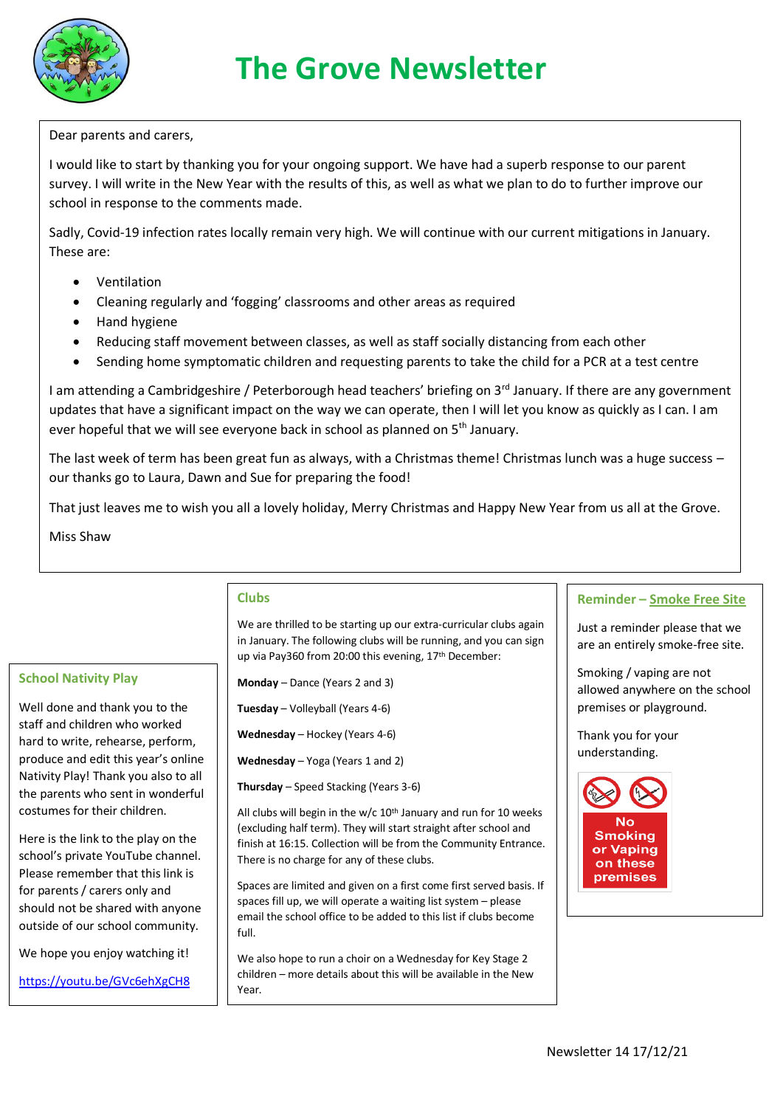

## **The Grove Newsletter**

Dear parents and carers,

I would like to start by thanking you for your ongoing support. We have had a superb response to our parent survey. I will write in the New Year with the results of this, as well as what we plan to do to further improve our school in response to the comments made.

Sadly, Covid-19 infection rates locally remain very high. We will continue with our current mitigations in January. These are:

- Ventilation
- Cleaning regularly and 'fogging' classrooms and other areas as required
- Hand hygiene
- Reducing staff movement between classes, as well as staff socially distancing from each other
- Sending home symptomatic children and requesting parents to take the child for a PCR at a test centre

I am attending a Cambridgeshire / Peterborough head teachers' briefing on 3<sup>rd</sup> January. If there are any government updates that have a significant impact on the way we can operate, then I will let you know as quickly as I can. I am ever hopeful that we will see everyone back in school as planned on 5<sup>th</sup> January.

The last week of term has been great fun as always, with a Christmas theme! Christmas lunch was a huge success – our thanks go to Laura, Dawn and Sue for preparing the food!

That just leaves me to wish you all a lovely holiday, Merry Christmas and Happy New Year from us all at the Grove.

Miss Shaw

**School Nativity Play**

Well done and thank you to the staff and children who worked hard to write, rehearse, perform, produce and edit this year's online Nativity Play! Thank you also to all the parents who sent in wonderful costumes for their children.

## **Clubs**

We are thrilled to be starting up our extra-curricular clubs again in January. The following clubs will be running, and you can sign up via Pay360 from 20:00 this evening, 17<sup>th</sup> December:

**Monday** – Dance (Years 2 and 3)

**Tuesday** – Volleyball (Years 4-6)

**Wednesday** – Hockey (Years 4-6)

**Wednesday** – Yoga (Years 1 and 2)

**Thursday** – Speed Stacking (Years 3-6)

All clubs will begin in the w/c  $10<sup>th</sup>$  January and run for 10 weeks (excluding half term). They will start straight after school and finish at 16:15. Collection will be from the Community Entrance. There is no charge for any of these clubs.

Spaces are limited and given on a first come first served basis. If spaces fill up, we will operate a waiting list system – please email the school office to be added to this list if clubs become full.

We also hope to run a choir on a Wednesday for Key Stage 2 children – more details about this will be available in the New Year.

## **Reminder – Smoke Free Site**

Just a reminder please that we are an entirely smoke-free site.

Smoking / vaping are not allowed anywhere on the school premises or playground.

Thank you for your understanding.



outside of our school community. We hope you enjoy watching it!

<https://youtu.be/GVc6ehXgCH8>

Here is the link to the play on the school's private YouTube channel. Please remember that this link is for parents / carers only and should not be shared with anyone